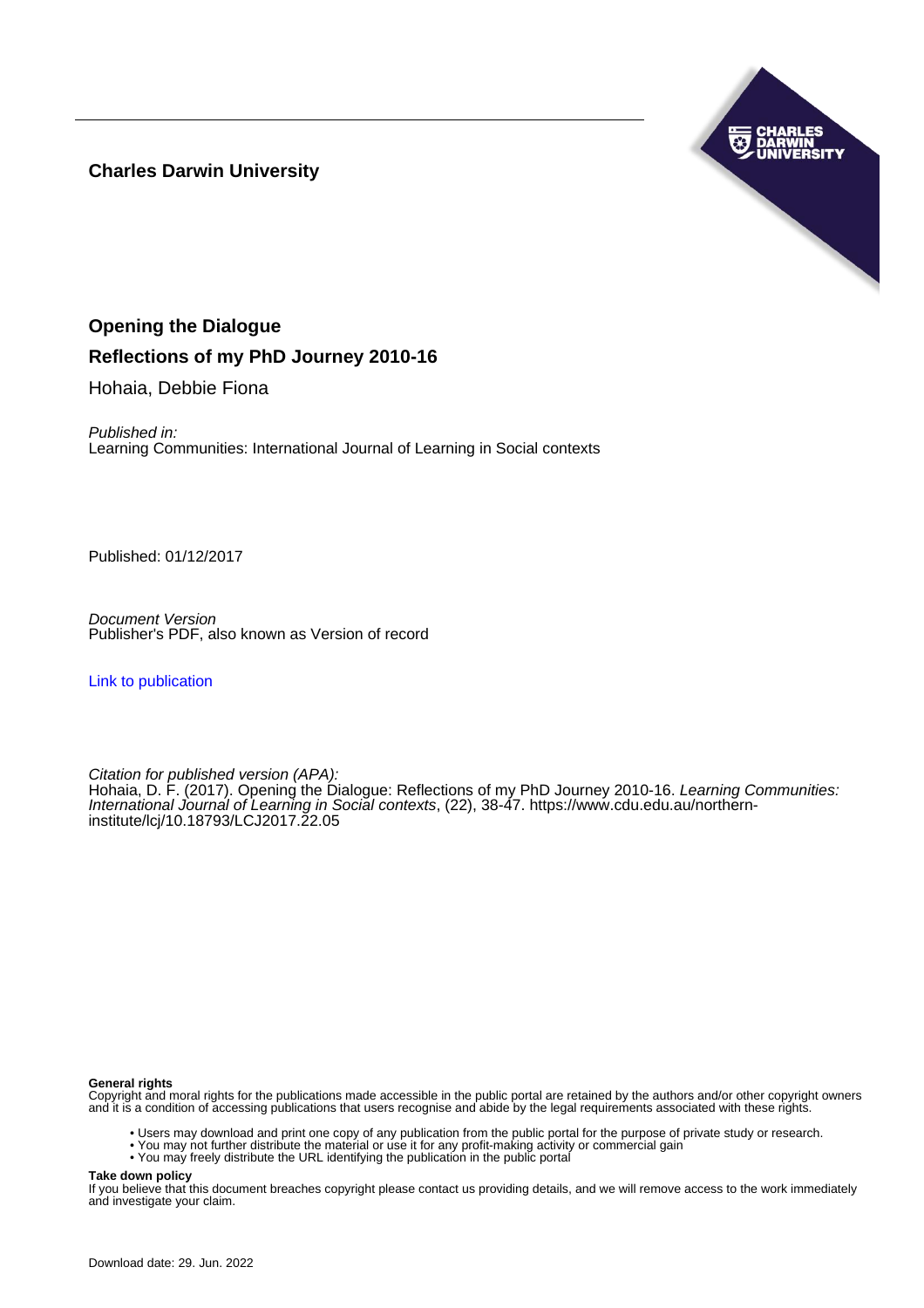**Charles Darwin University**



# **Opening the Dialogue**

# **Reflections of my PhD Journey 2010-16**

Hohaia, Debbie Fiona

Published in: Learning Communities: International Journal of Learning in Social contexts

Published: 01/12/2017

Document Version Publisher's PDF, also known as Version of record

[Link to publication](https://researchers.cdu.edu.au/en/publications/191ff68b-b8a4-4fd7-afb3-7f69acdfd971)

Citation for published version (APA): Hohaia, D. F. (2017). Opening the Dialogue: Reflections of my PhD Journey 2010-16. Learning Communities: International Journal of Learning in Social contexts, (22), 38-47. [https://www.cdu.edu.au/northern](https://www.cdu.edu.au/northern-institute/lcj/10.18793/LCJ2017.22.05)[institute/lcj/10.18793/LCJ2017.22.05](https://www.cdu.edu.au/northern-institute/lcj/10.18793/LCJ2017.22.05)

#### **General rights**

Copyright and moral rights for the publications made accessible in the public portal are retained by the authors and/or other copyright owners and it is a condition of accessing publications that users recognise and abide by the legal requirements associated with these rights.

- Users may download and print one copy of any publication from the public portal for the purpose of private study or research.
- You may not further distribute the material or use it for any profit-making activity or commercial gain
- You may freely distribute the URL identifying the publication in the public portal

**Take down policy**

If you believe that this document breaches copyright please contact us providing details, and we will remove access to the work immediately and investigate your claim.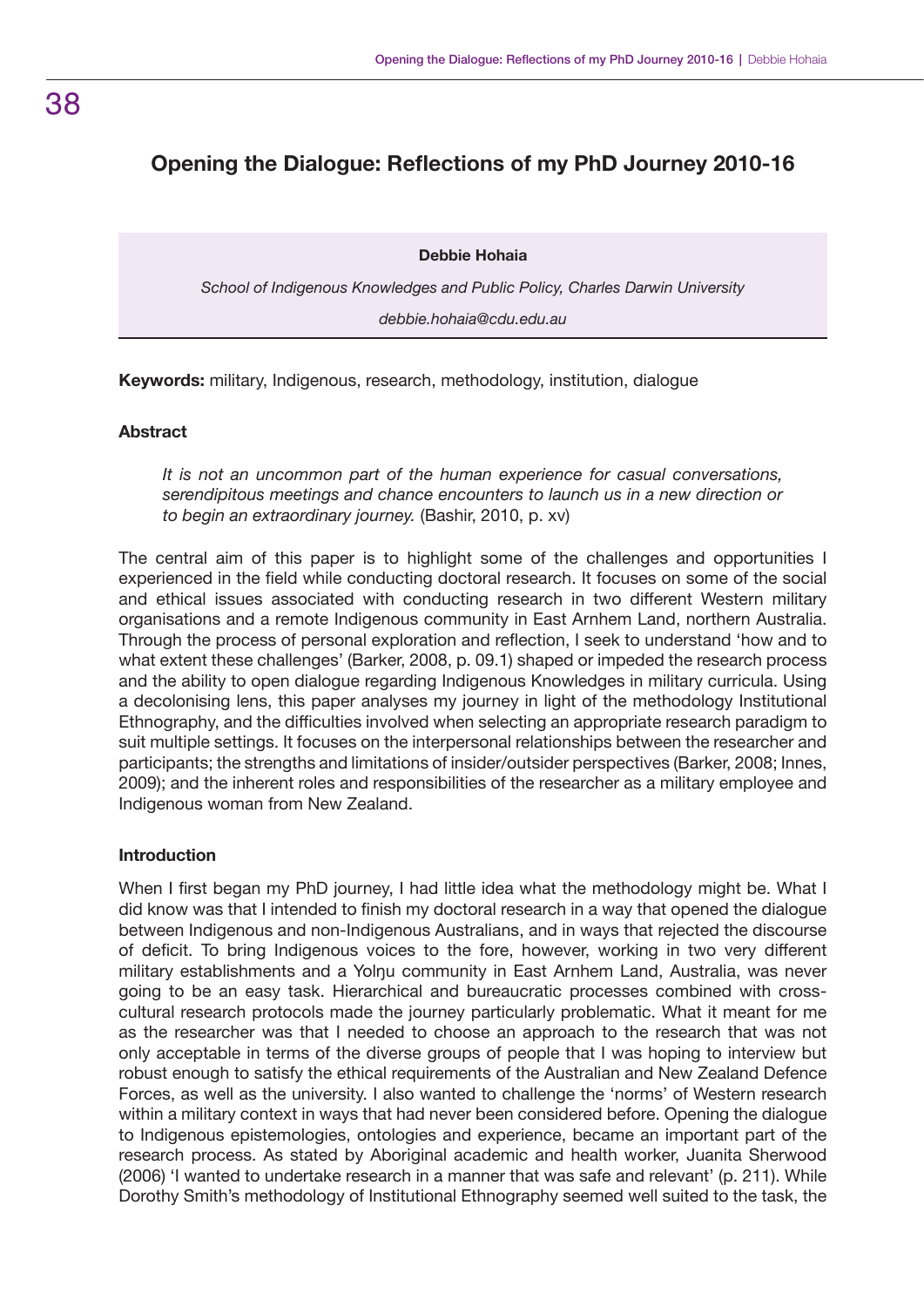# **Opening the Dialogue: Reflections of my PhD Journey 2010-16**

**Debbie Hohaia**

*School of Indigenous Knowledges and Public Policy, Charles Darwin University*

*debbie.hohaia@cdu.edu.au*

**Keywords:** military, Indigenous, research, methodology, institution, dialogue

### **Abstract**

*It is not an uncommon part of the human experience for casual conversations, serendipitous meetings and chance encounters to launch us in a new direction or to begin an extraordinary journey.* (Bashir, 2010, p. xv)

The central aim of this paper is to highlight some of the challenges and opportunities I experienced in the field while conducting doctoral research. It focuses on some of the social and ethical issues associated with conducting research in two different Western military organisations and a remote Indigenous community in East Arnhem Land, northern Australia. Through the process of personal exploration and reflection, I seek to understand 'how and to what extent these challenges' (Barker, 2008, p. 09.1) shaped or impeded the research process and the ability to open dialogue regarding Indigenous Knowledges in military curricula. Using a decolonising lens, this paper analyses my journey in light of the methodology Institutional Ethnography, and the difficulties involved when selecting an appropriate research paradigm to suit multiple settings. It focuses on the interpersonal relationships between the researcher and participants; the strengths and limitations of insider/outsider perspectives (Barker, 2008; Innes, 2009); and the inherent roles and responsibilities of the researcher as a military employee and Indigenous woman from New Zealand.

### **Introduction**

When I first began my PhD journey, I had little idea what the methodology might be. What I did know was that I intended to finish my doctoral research in a way that opened the dialogue between Indigenous and non-Indigenous Australians, and in ways that rejected the discourse of deficit. To bring Indigenous voices to the fore, however, working in two very different military establishments and a Yolnu community in East Arnhem Land, Australia, was never going to be an easy task. Hierarchical and bureaucratic processes combined with crosscultural research protocols made the journey particularly problematic. What it meant for me as the researcher was that I needed to choose an approach to the research that was not only acceptable in terms of the diverse groups of people that I was hoping to interview but robust enough to satisfy the ethical requirements of the Australian and New Zealand Defence Forces, as well as the university. I also wanted to challenge the 'norms' of Western research within a military context in ways that had never been considered before. Opening the dialogue to Indigenous epistemologies, ontologies and experience, became an important part of the research process. As stated by Aboriginal academic and health worker, Juanita Sherwood (2006) 'I wanted to undertake research in a manner that was safe and relevant' (p. 211). While Dorothy Smith's methodology of Institutional Ethnography seemed well suited to the task, the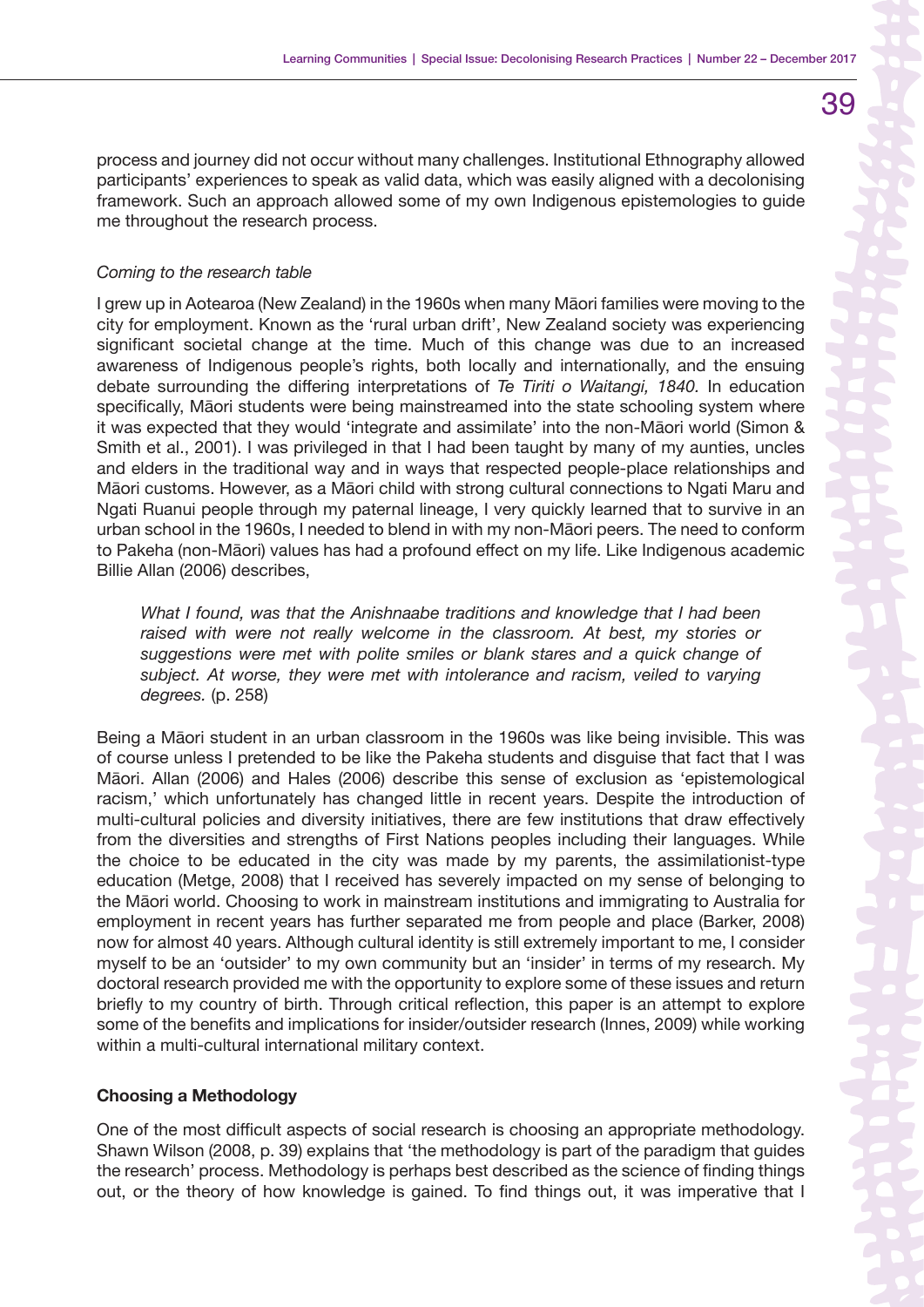process and journey did not occur without many challenges. Institutional Ethnography allowed participants' experiences to speak as valid data, which was easily aligned with a decolonising framework. Such an approach allowed some of my own Indigenous epistemologies to guide me throughout the research process.

### *Coming to the research table*

I grew up in Aotearoa (New Zealand) in the 1960s when many Māori families were moving to the city for employment. Known as the 'rural urban drift', New Zealand society was experiencing significant societal change at the time. Much of this change was due to an increased awareness of Indigenous people's rights, both locally and internationally, and the ensuing debate surrounding the differing interpretations of *Te Tiriti o Waitangi, 1840.* In education specifically, Māori students were being mainstreamed into the state schooling system where it was expected that they would 'integrate and assimilate' into the non-Māori world (Simon & Smith et al., 2001). I was privileged in that I had been taught by many of my aunties, uncles and elders in the traditional way and in ways that respected people-place relationships and Māori customs. However, as a Māori child with strong cultural connections to Ngati Maru and Ngati Ruanui people through my paternal lineage, I very quickly learned that to survive in an urban school in the 1960s, I needed to blend in with my non-Māori peers. The need to conform to Pakeha (non-Māori) values has had a profound effect on my life. Like Indigenous academic Billie Allan (2006) describes,

*What I found, was that the Anishnaabe traditions and knowledge that I had been*  raised with were not really welcome in the classroom. At best, my stories or *suggestions were met with polite smiles or blank stares and a quick change of subject. At worse, they were met with intolerance and racism, veiled to varying degrees.* (p. 258)

Being a Māori student in an urban classroom in the 1960s was like being invisible. This was of course unless I pretended to be like the Pakeha students and disguise that fact that I was Māori. Allan (2006) and Hales (2006) describe this sense of exclusion as 'epistemological racism,' which unfortunately has changed little in recent years. Despite the introduction of multi-cultural policies and diversity initiatives, there are few institutions that draw effectively from the diversities and strengths of First Nations peoples including their languages. While the choice to be educated in the city was made by my parents, the assimilationist-type education (Metge, 2008) that I received has severely impacted on my sense of belonging to the Māori world. Choosing to work in mainstream institutions and immigrating to Australia for employment in recent years has further separated me from people and place (Barker, 2008) now for almost 40 years. Although cultural identity is still extremely important to me, I consider myself to be an 'outsider' to my own community but an 'insider' in terms of my research. My doctoral research provided me with the opportunity to explore some of these issues and return briefly to my country of birth. Through critical reflection, this paper is an attempt to explore some of the benefits and implications for insider/outsider research (Innes, 2009) while working within a multi-cultural international military context.

### **Choosing a Methodology**

One of the most difficult aspects of social research is choosing an appropriate methodology. Shawn Wilson (2008, p. 39) explains that 'the methodology is part of the paradigm that guides the research' process. Methodology is perhaps best described as the science of finding things out, or the theory of how knowledge is gained. To find things out, it was imperative that I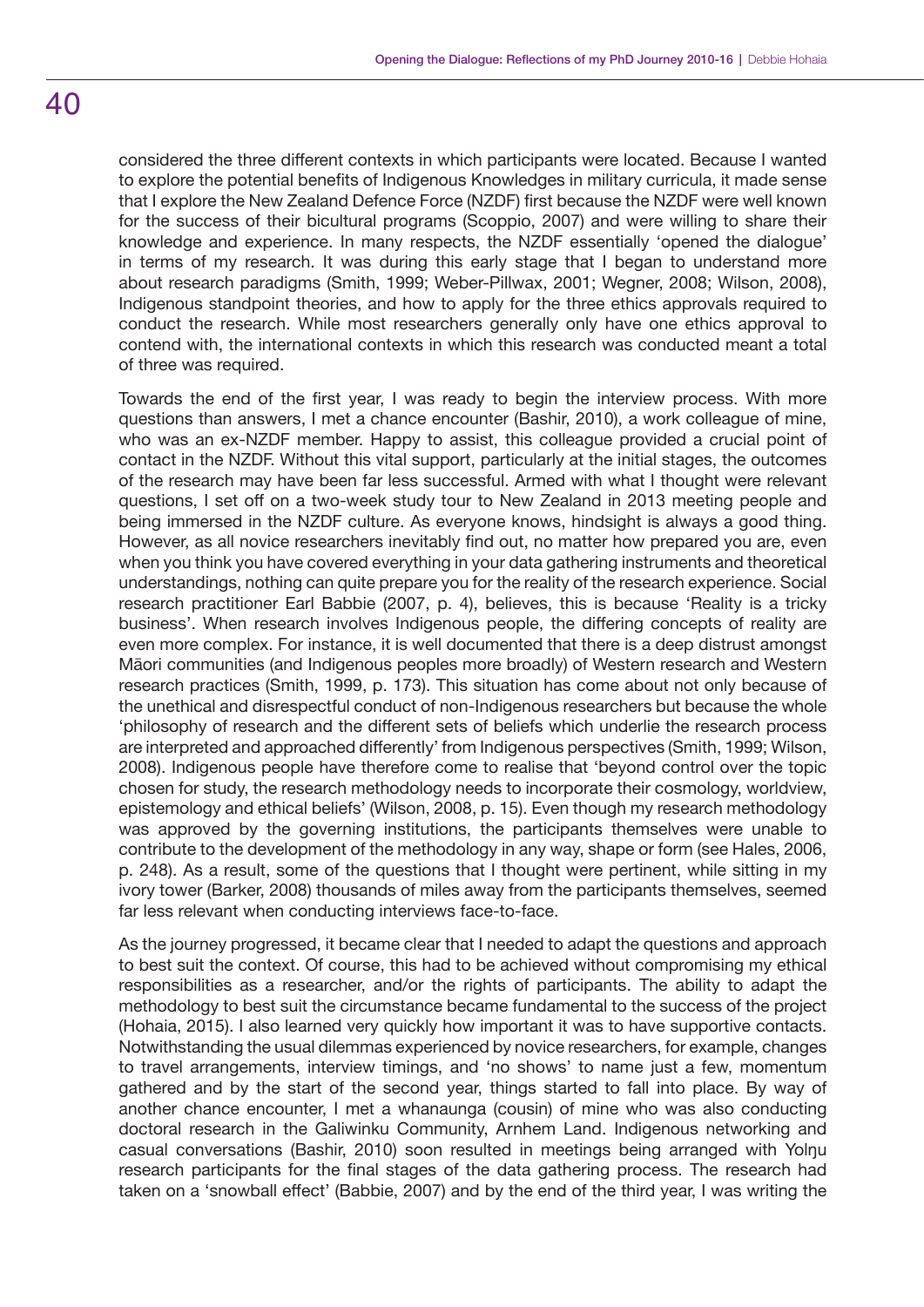## considered the three different contexts in which participants were located. Because I wanted to explore the potential benefits of Indigenous Knowledges in military curricula, it made sense that I explore the New Zealand Defence Force (NZDF) first because the NZDF were well known for the success of their bicultural programs (Scoppio, 2007) and were willing to share their knowledge and experience. In many respects, the NZDF essentially 'opened the dialogue' in terms of my research. It was during this early stage that I began to understand more about research paradigms (Smith, 1999; Weber-Pillwax, 2001; Wegner, 2008; Wilson, 2008), Indigenous standpoint theories, and how to apply for the three ethics approvals required to conduct the research. While most researchers generally only have one ethics approval to contend with, the international contexts in which this research was conducted meant a total of three was required.

Towards the end of the first year, I was ready to begin the interview process. With more questions than answers, I met a chance encounter (Bashir, 2010), a work colleague of mine, who was an ex-NZDF member. Happy to assist, this colleague provided a crucial point of contact in the NZDF. Without this vital support, particularly at the initial stages, the outcomes of the research may have been far less successful. Armed with what I thought were relevant questions, I set off on a two-week study tour to New Zealand in 2013 meeting people and being immersed in the NZDF culture. As everyone knows, hindsight is always a good thing. However, as all novice researchers inevitably find out, no matter how prepared you are, even when you think you have covered everything in your data gathering instruments and theoretical understandings, nothing can quite prepare you for the reality of the research experience. Social research practitioner Earl Babbie (2007, p. 4), believes, this is because 'Reality is a tricky business'. When research involves Indigenous people, the differing concepts of reality are even more complex. For instance, it is well documented that there is a deep distrust amongst Māori communities (and Indigenous peoples more broadly) of Western research and Western research practices (Smith, 1999, p. 173). This situation has come about not only because of the unethical and disrespectful conduct of non-Indigenous researchers but because the whole 'philosophy of research and the different sets of beliefs which underlie the research process are interpreted and approached differently' from Indigenous perspectives (Smith, 1999; Wilson, 2008). Indigenous people have therefore come to realise that 'beyond control over the topic chosen for study, the research methodology needs to incorporate their cosmology, worldview, epistemology and ethical beliefs' (Wilson, 2008, p. 15). Even though my research methodology was approved by the governing institutions, the participants themselves were unable to contribute to the development of the methodology in any way, shape or form (see Hales, 2006, p. 248). As a result, some of the questions that I thought were pertinent, while sitting in my ivory tower (Barker, 2008) thousands of miles away from the participants themselves, seemed far less relevant when conducting interviews face-to-face.

As the journey progressed, it became clear that I needed to adapt the questions and approach to best suit the context. Of course, this had to be achieved without compromising my ethical responsibilities as a researcher, and/or the rights of participants. The ability to adapt the methodology to best suit the circumstance became fundamental to the success of the project (Hohaia, 2015). I also learned very quickly how important it was to have supportive contacts. Notwithstanding the usual dilemmas experienced by novice researchers, for example, changes to travel arrangements, interview timings, and 'no shows' to name just a few, momentum gathered and by the start of the second year, things started to fall into place. By way of another chance encounter, I met a whanaunga (cousin) of mine who was also conducting doctoral research in the Galiwinku Community, Arnhem Land. Indigenous networking and casual conversations (Bashir, 2010) soon resulted in meetings being arranged with Yolnu research participants for the final stages of the data gathering process. The research had taken on a 'snowball effect' (Babbie, 2007) and by the end of the third year, I was writing the

# 40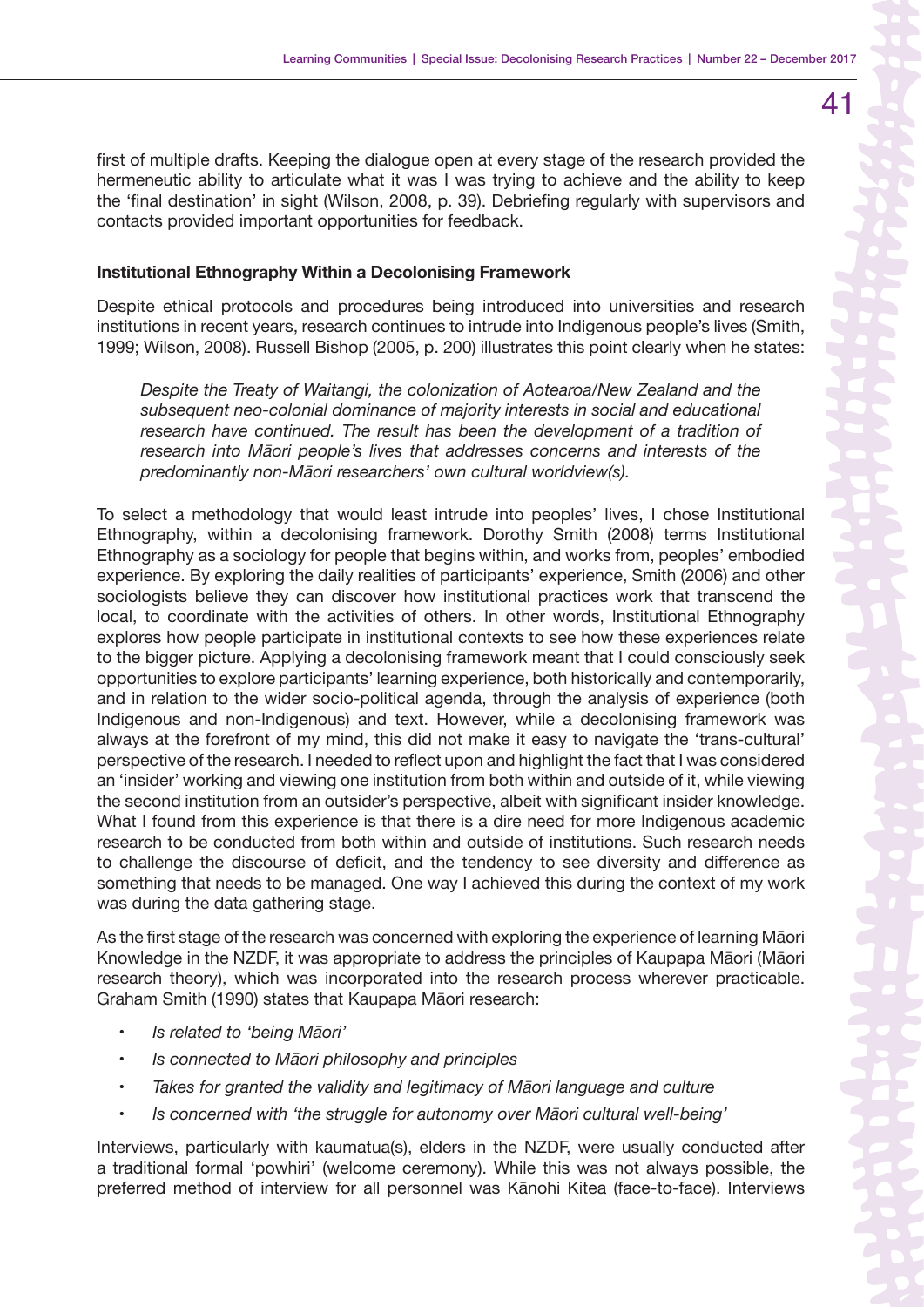first of multiple drafts. Keeping the dialogue open at every stage of the research provided the hermeneutic ability to articulate what it was I was trying to achieve and the ability to keep the 'final destination' in sight (Wilson, 2008, p. 39). Debriefing regularly with supervisors and contacts provided important opportunities for feedback.

#### **Institutional Ethnography Within a Decolonising Framework**

Despite ethical protocols and procedures being introduced into universities and research institutions in recent years, research continues to intrude into Indigenous people's lives (Smith, 1999; Wilson, 2008). Russell Bishop (2005, p. 200) illustrates this point clearly when he states:

*Despite the Treaty of Waitangi, the colonization of Aotearoa/New Zealand and the subsequent neo-colonial dominance of majority interests in social and educational*  research have continued. The result has been the development of a tradition of *research into Māori people's lives that addresses concerns and interests of the predominantly non-Māori researchers' own cultural worldview(s).* 

To select a methodology that would least intrude into peoples' lives, I chose Institutional Ethnography, within a decolonising framework. Dorothy Smith (2008) terms Institutional Ethnography as a sociology for people that begins within, and works from, peoples' embodied experience. By exploring the daily realities of participants' experience, Smith (2006) and other sociologists believe they can discover how institutional practices work that transcend the local, to coordinate with the activities of others. In other words, Institutional Ethnography explores how people participate in institutional contexts to see how these experiences relate to the bigger picture. Applying a decolonising framework meant that I could consciously seek opportunities to explore participants' learning experience, both historically and contemporarily, and in relation to the wider socio-political agenda, through the analysis of experience (both Indigenous and non-Indigenous) and text. However, while a decolonising framework was always at the forefront of my mind, this did not make it easy to navigate the 'trans-cultural' perspective of the research. I needed to reflect upon and highlight the fact that I was considered an 'insider' working and viewing one institution from both within and outside of it, while viewing the second institution from an outsider's perspective, albeit with significant insider knowledge. What I found from this experience is that there is a dire need for more Indigenous academic research to be conducted from both within and outside of institutions. Such research needs to challenge the discourse of deficit, and the tendency to see diversity and difference as something that needs to be managed. One way I achieved this during the context of my work was during the data gathering stage.

As the first stage of the research was concerned with exploring the experience of learning Māori Knowledge in the NZDF, it was appropriate to address the principles of Kaupapa Māori (Māori research theory), which was incorporated into the research process wherever practicable. Graham Smith (1990) states that Kaupapa Māori research:

- *Is related to 'being Māori'*
- *Is connected to Māori philosophy and principles*
- *Takes for granted the validity and legitimacy of Māori language and culture*
- *Is concerned with 'the struggle for autonomy over Māori cultural well-being'*

Interviews, particularly with kaumatua(s), elders in the NZDF, were usually conducted after a traditional formal 'powhiri' (welcome ceremony). While this was not always possible, the preferred method of interview for all personnel was Kānohi Kitea (face-to-face). Interviews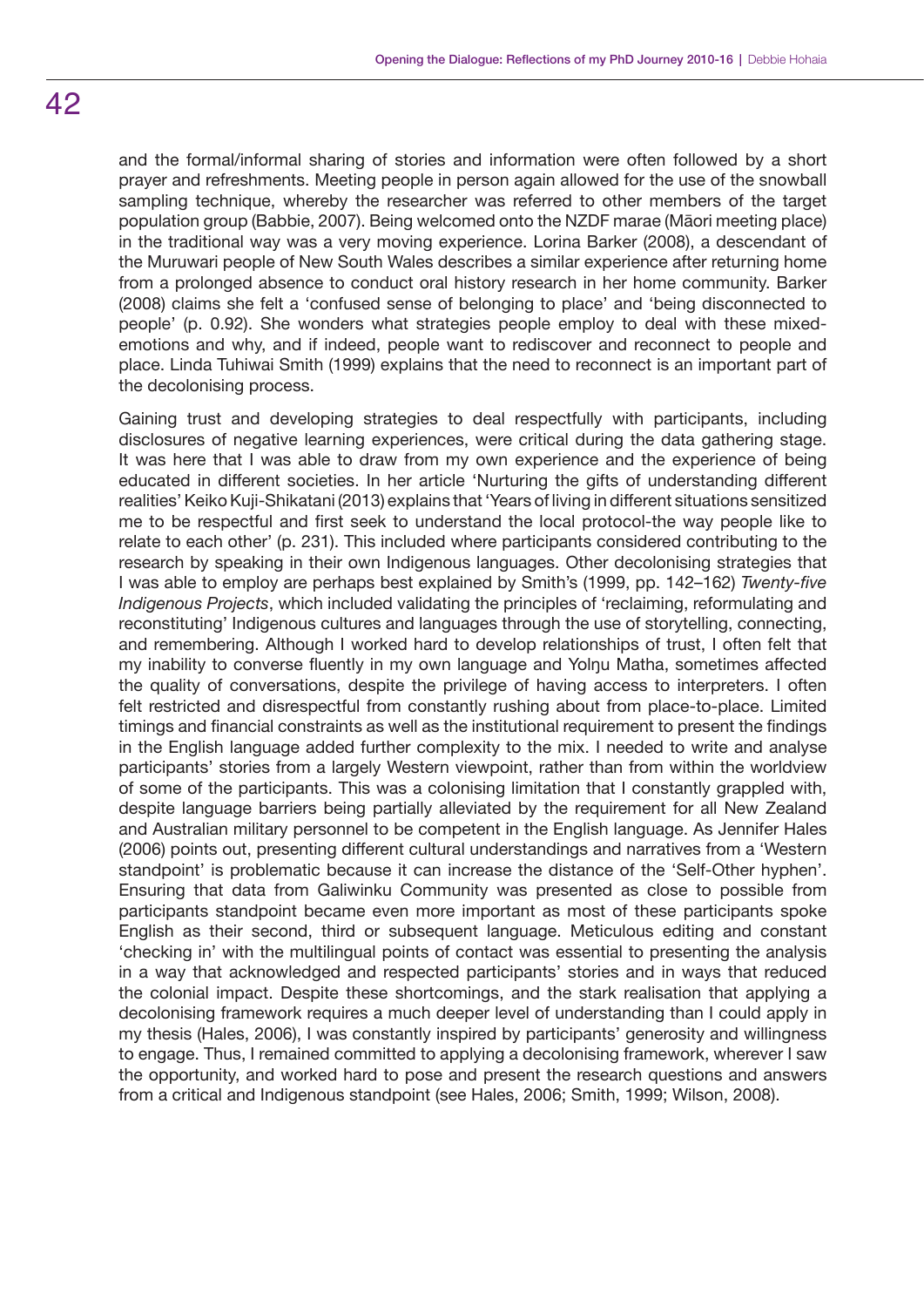and the formal/informal sharing of stories and information were often followed by a short prayer and refreshments. Meeting people in person again allowed for the use of the snowball sampling technique, whereby the researcher was referred to other members of the target population group (Babbie, 2007). Being welcomed onto the NZDF marae (Māori meeting place) in the traditional way was a very moving experience. Lorina Barker (2008), a descendant of the Muruwari people of New South Wales describes a similar experience after returning home from a prolonged absence to conduct oral history research in her home community. Barker (2008) claims she felt a 'confused sense of belonging to place' and 'being disconnected to people' (p. 0.92). She wonders what strategies people employ to deal with these mixedemotions and why, and if indeed, people want to rediscover and reconnect to people and place. Linda Tuhiwai Smith (1999) explains that the need to reconnect is an important part of the decolonising process.

Gaining trust and developing strategies to deal respectfully with participants, including disclosures of negative learning experiences, were critical during the data gathering stage. It was here that I was able to draw from my own experience and the experience of being educated in different societies. In her article 'Nurturing the gifts of understanding different realities' Keiko Kuji-Shikatani (2013) explains that 'Years of living in different situations sensitized me to be respectful and first seek to understand the local protocol-the way people like to relate to each other' (p. 231). This included where participants considered contributing to the research by speaking in their own Indigenous languages. Other decolonising strategies that I was able to employ are perhaps best explained by Smith's (1999, pp. 142–162) *Twenty-five Indigenous Projects*, which included validating the principles of 'reclaiming, reformulating and reconstituting' Indigenous cultures and languages through the use of storytelling, connecting, and remembering. Although I worked hard to develop relationships of trust, I often felt that my inability to converse fluently in my own language and Yolŋu Matha, sometimes affected the quality of conversations, despite the privilege of having access to interpreters. I often felt restricted and disrespectful from constantly rushing about from place-to-place. Limited timings and financial constraints as well as the institutional requirement to present the findings in the English language added further complexity to the mix. I needed to write and analyse participants' stories from a largely Western viewpoint, rather than from within the worldview of some of the participants. This was a colonising limitation that I constantly grappled with, despite language barriers being partially alleviated by the requirement for all New Zealand and Australian military personnel to be competent in the English language. As Jennifer Hales (2006) points out, presenting different cultural understandings and narratives from a 'Western standpoint' is problematic because it can increase the distance of the 'Self-Other hyphen'. Ensuring that data from Galiwinku Community was presented as close to possible from participants standpoint became even more important as most of these participants spoke English as their second, third or subsequent language. Meticulous editing and constant 'checking in' with the multilingual points of contact was essential to presenting the analysis in a way that acknowledged and respected participants' stories and in ways that reduced the colonial impact. Despite these shortcomings, and the stark realisation that applying a decolonising framework requires a much deeper level of understanding than I could apply in my thesis (Hales, 2006), I was constantly inspired by participants' generosity and willingness to engage. Thus, I remained committed to applying a decolonising framework, wherever I saw the opportunity, and worked hard to pose and present the research questions and answers from a critical and Indigenous standpoint (see Hales, 2006; Smith, 1999; Wilson, 2008).

# 42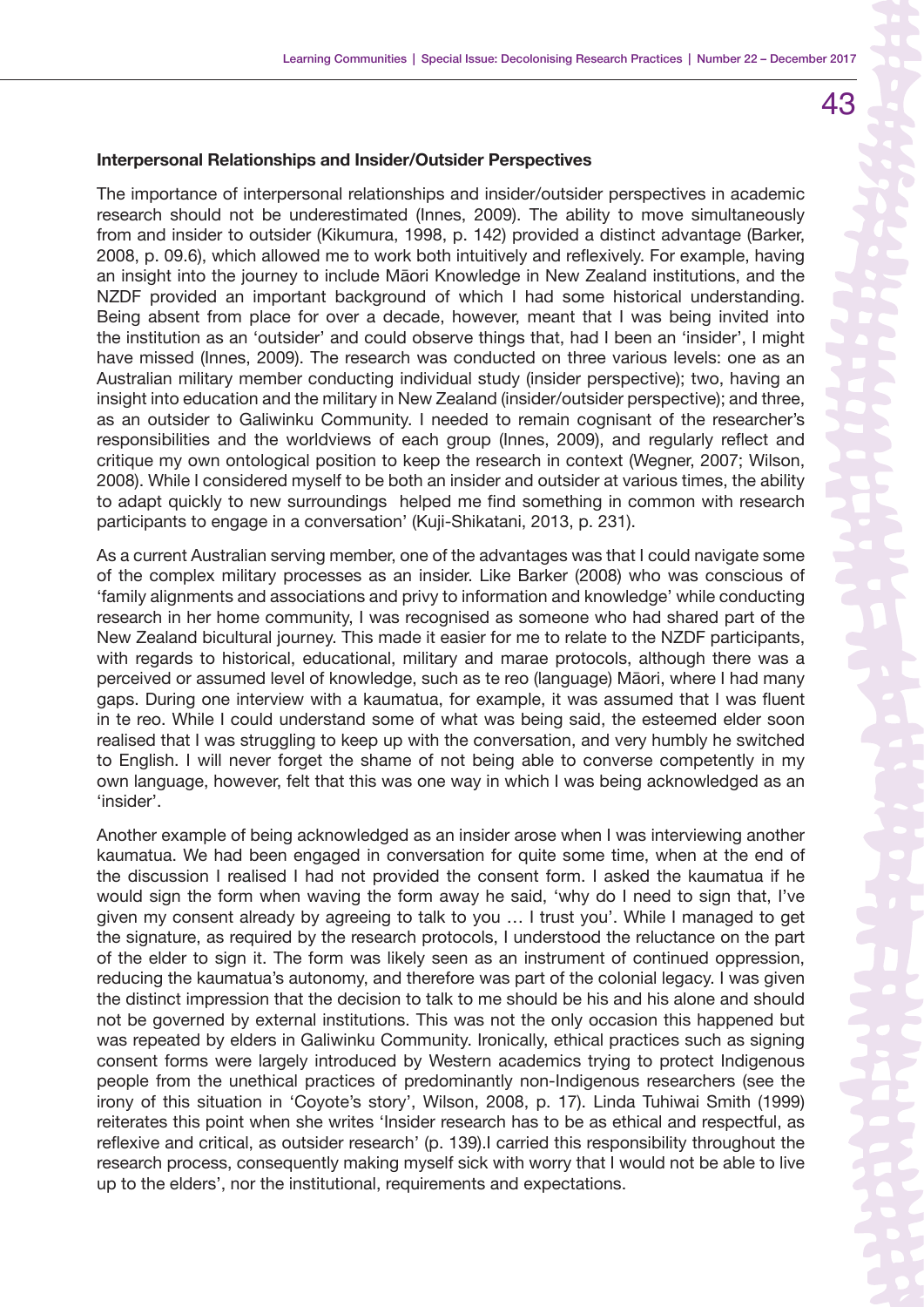### **Interpersonal Relationships and Insider/Outsider Perspectives**

The importance of interpersonal relationships and insider/outsider perspectives in academic research should not be underestimated (Innes, 2009). The ability to move simultaneously from and insider to outsider (Kikumura, 1998, p. 142) provided a distinct advantage (Barker, 2008, p. 09.6), which allowed me to work both intuitively and reflexively. For example, having an insight into the journey to include Māori Knowledge in New Zealand institutions, and the NZDF provided an important background of which I had some historical understanding. Being absent from place for over a decade, however, meant that I was being invited into the institution as an 'outsider' and could observe things that, had I been an 'insider', I might have missed (Innes, 2009). The research was conducted on three various levels: one as an Australian military member conducting individual study (insider perspective); two, having an insight into education and the military in New Zealand (insider/outsider perspective); and three, as an outsider to Galiwinku Community. I needed to remain cognisant of the researcher's responsibilities and the worldviews of each group (Innes, 2009), and regularly reflect and critique my own ontological position to keep the research in context (Wegner, 2007; Wilson, 2008). While I considered myself to be both an insider and outsider at various times, the ability to adapt quickly to new surroundings helped me find something in common with research participants to engage in a conversation' (Kuji-Shikatani, 2013, p. 231).

As a current Australian serving member, one of the advantages was that I could navigate some of the complex military processes as an insider. Like Barker (2008) who was conscious of 'family alignments and associations and privy to information and knowledge' while conducting research in her home community, I was recognised as someone who had shared part of the New Zealand bicultural journey. This made it easier for me to relate to the NZDF participants, with regards to historical, educational, military and marae protocols, although there was a perceived or assumed level of knowledge, such as te reo (language) Māori, where I had many gaps. During one interview with a kaumatua, for example, it was assumed that I was fluent in te reo. While I could understand some of what was being said, the esteemed elder soon realised that I was struggling to keep up with the conversation, and very humbly he switched to English. I will never forget the shame of not being able to converse competently in my own language, however, felt that this was one way in which I was being acknowledged as an 'insider'.

Another example of being acknowledged as an insider arose when I was interviewing another kaumatua. We had been engaged in conversation for quite some time, when at the end of the discussion I realised I had not provided the consent form. I asked the kaumatua if he would sign the form when waving the form away he said, 'why do I need to sign that, I've given my consent already by agreeing to talk to you … I trust you'. While I managed to get the signature, as required by the research protocols, I understood the reluctance on the part of the elder to sign it. The form was likely seen as an instrument of continued oppression, reducing the kaumatua's autonomy, and therefore was part of the colonial legacy. I was given the distinct impression that the decision to talk to me should be his and his alone and should not be governed by external institutions. This was not the only occasion this happened but was repeated by elders in Galiwinku Community. Ironically, ethical practices such as signing consent forms were largely introduced by Western academics trying to protect Indigenous people from the unethical practices of predominantly non-Indigenous researchers (see the irony of this situation in 'Coyote's story', Wilson, 2008, p. 17). Linda Tuhiwai Smith (1999) reiterates this point when she writes 'Insider research has to be as ethical and respectful, as reflexive and critical, as outsider research' (p. 139).I carried this responsibility throughout the research process, consequently making myself sick with worry that I would not be able to live up to the elders', nor the institutional, requirements and expectations.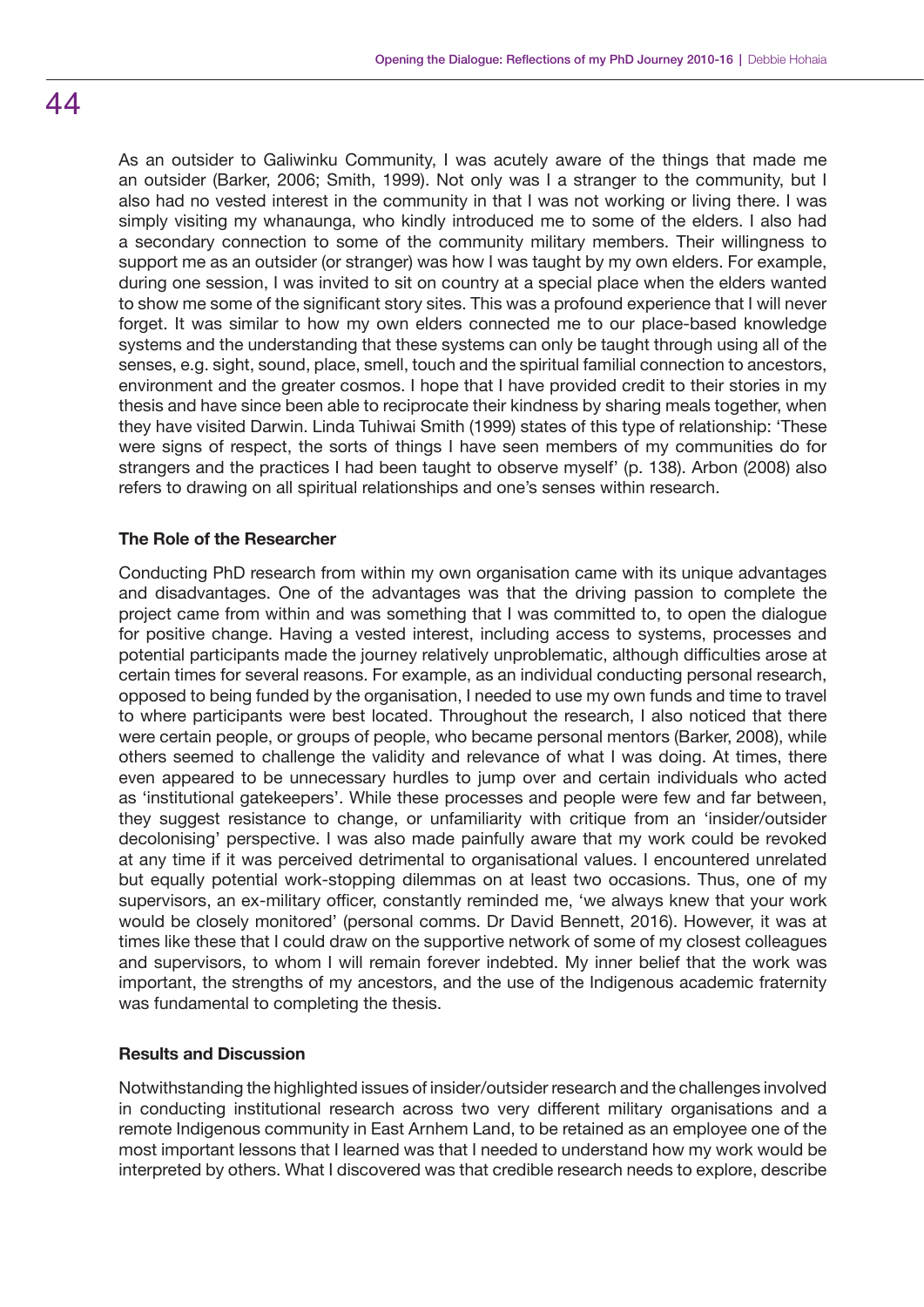44

As an outsider to Galiwinku Community, I was acutely aware of the things that made me an outsider (Barker, 2006; Smith, 1999). Not only was I a stranger to the community, but I also had no vested interest in the community in that I was not working or living there. I was simply visiting my whanaunga, who kindly introduced me to some of the elders. I also had a secondary connection to some of the community military members. Their willingness to support me as an outsider (or stranger) was how I was taught by my own elders. For example, during one session, I was invited to sit on country at a special place when the elders wanted to show me some of the significant story sites. This was a profound experience that I will never forget. It was similar to how my own elders connected me to our place-based knowledge systems and the understanding that these systems can only be taught through using all of the senses, e.g. sight, sound, place, smell, touch and the spiritual familial connection to ancestors, environment and the greater cosmos. I hope that I have provided credit to their stories in my thesis and have since been able to reciprocate their kindness by sharing meals together, when they have visited Darwin. Linda Tuhiwai Smith (1999) states of this type of relationship: 'These were signs of respect, the sorts of things I have seen members of my communities do for strangers and the practices I had been taught to observe myself' (p. 138). Arbon (2008) also refers to drawing on all spiritual relationships and one's senses within research.

### **The Role of the Researcher**

Conducting PhD research from within my own organisation came with its unique advantages and disadvantages. One of the advantages was that the driving passion to complete the project came from within and was something that I was committed to, to open the dialogue for positive change. Having a vested interest, including access to systems, processes and potential participants made the journey relatively unproblematic, although difficulties arose at certain times for several reasons. For example, as an individual conducting personal research, opposed to being funded by the organisation, I needed to use my own funds and time to travel to where participants were best located. Throughout the research, I also noticed that there were certain people, or groups of people, who became personal mentors (Barker, 2008), while others seemed to challenge the validity and relevance of what I was doing. At times, there even appeared to be unnecessary hurdles to jump over and certain individuals who acted as 'institutional gatekeepers'. While these processes and people were few and far between, they suggest resistance to change, or unfamiliarity with critique from an 'insider/outsider decolonising' perspective. I was also made painfully aware that my work could be revoked at any time if it was perceived detrimental to organisational values. I encountered unrelated but equally potential work-stopping dilemmas on at least two occasions. Thus, one of my supervisors, an ex-military officer, constantly reminded me, 'we always knew that your work would be closely monitored' (personal comms. Dr David Bennett, 2016). However, it was at times like these that I could draw on the supportive network of some of my closest colleagues and supervisors, to whom I will remain forever indebted. My inner belief that the work was important, the strengths of my ancestors, and the use of the Indigenous academic fraternity was fundamental to completing the thesis.

### **Results and Discussion**

Notwithstanding the highlighted issues of insider/outsider research and the challenges involved in conducting institutional research across two very different military organisations and a remote Indigenous community in East Arnhem Land, to be retained as an employee one of the most important lessons that I learned was that I needed to understand how my work would be interpreted by others. What I discovered was that credible research needs to explore, describe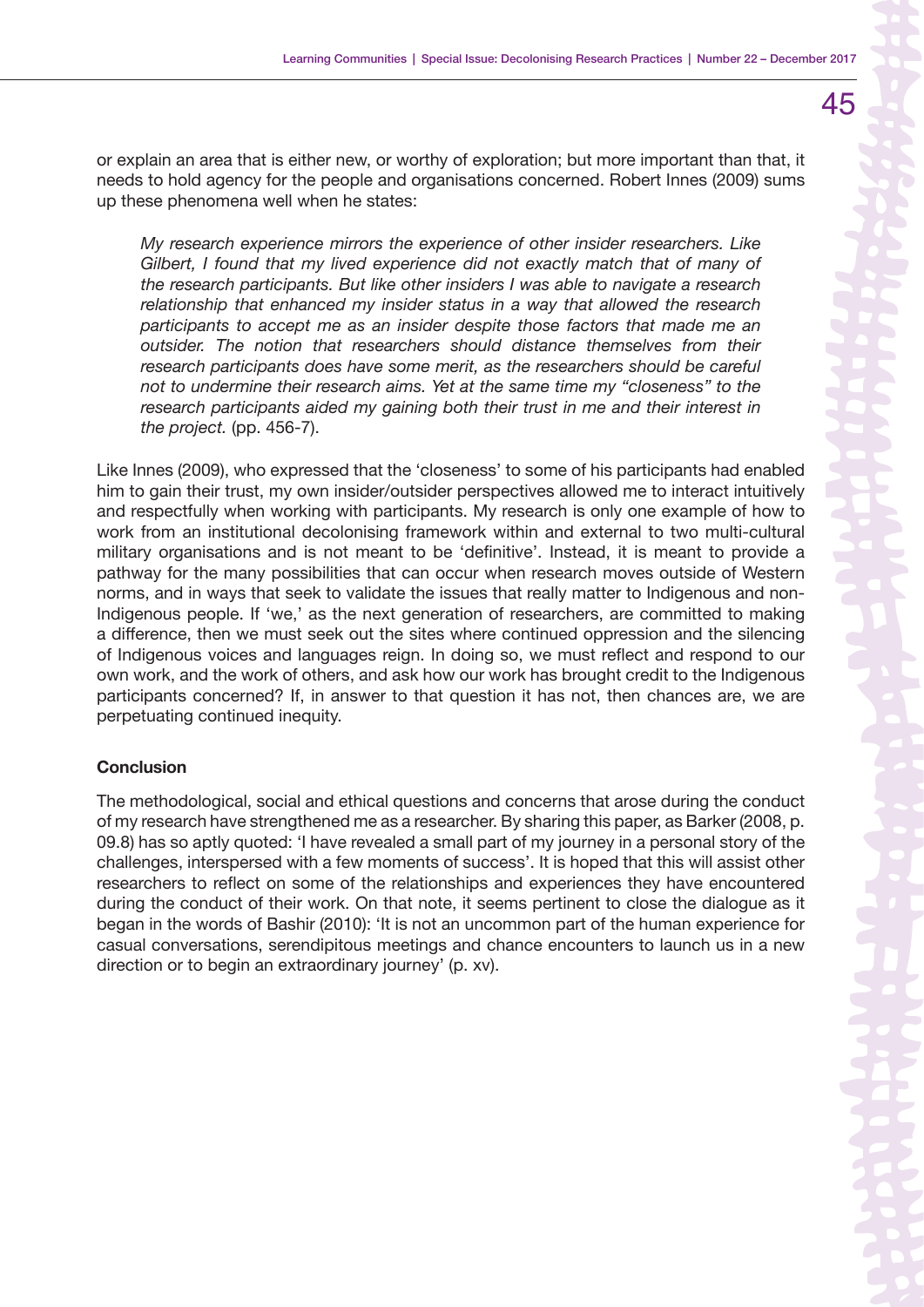or explain an area that is either new, or worthy of exploration; but more important than that, it needs to hold agency for the people and organisations concerned. Robert Innes (2009) sums up these phenomena well when he states:

> *My research experience mirrors the experience of other insider researchers. Like Gilbert, I found that my lived experience did not exactly match that of many of the research participants. But like other insiders I was able to navigate a research relationship that enhanced my insider status in a way that allowed the research participants to accept me as an insider despite those factors that made me an outsider. The notion that researchers should distance themselves from their research participants does have some merit, as the researchers should be careful not to undermine their research aims. Yet at the same time my "closeness" to the research participants aided my gaining both their trust in me and their interest in the project.* (pp. 456-7).

Like Innes (2009), who expressed that the 'closeness' to some of his participants had enabled him to gain their trust, my own insider/outsider perspectives allowed me to interact intuitively and respectfully when working with participants. My research is only one example of how to work from an institutional decolonising framework within and external to two multi-cultural military organisations and is not meant to be 'definitive'. Instead, it is meant to provide a pathway for the many possibilities that can occur when research moves outside of Western norms, and in ways that seek to validate the issues that really matter to Indigenous and non-Indigenous people. If 'we,' as the next generation of researchers, are committed to making a difference, then we must seek out the sites where continued oppression and the silencing of Indigenous voices and languages reign. In doing so, we must reflect and respond to our own work, and the work of others, and ask how our work has brought credit to the Indigenous participants concerned? If, in answer to that question it has not, then chances are, we are perpetuating continued inequity.

# **Conclusion**

The methodological, social and ethical questions and concerns that arose during the conduct of my research have strengthened me as a researcher. By sharing this paper, as Barker (2008, p. 09.8) has so aptly quoted: 'I have revealed a small part of my journey in a personal story of the challenges, interspersed with a few moments of success'. It is hoped that this will assist other researchers to reflect on some of the relationships and experiences they have encountered during the conduct of their work. On that note, it seems pertinent to close the dialogue as it began in the words of Bashir (2010): 'It is not an uncommon part of the human experience for casual conversations, serendipitous meetings and chance encounters to launch us in a new direction or to begin an extraordinary journey' (p. xv).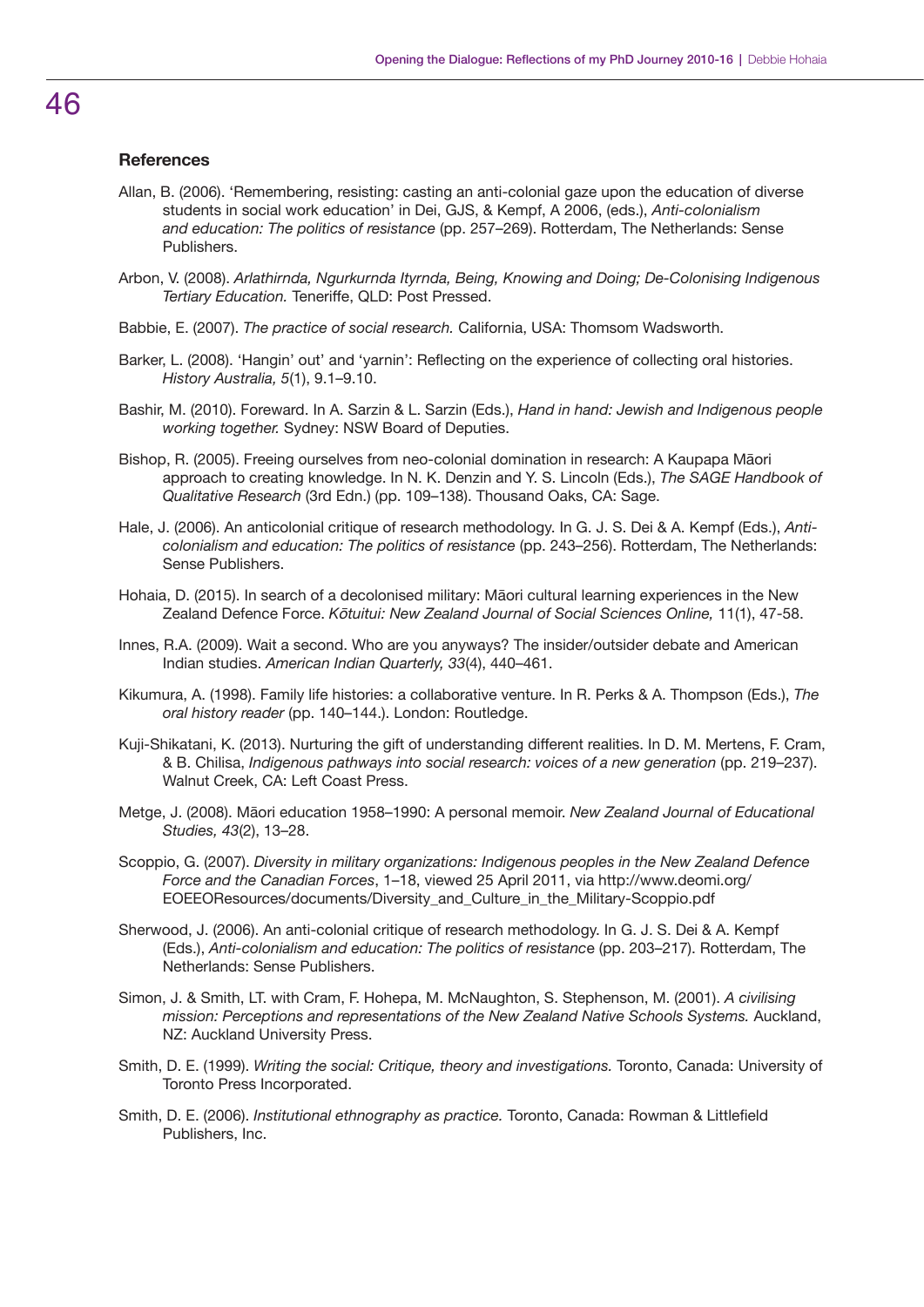### **References**

- Allan, B. (2006). 'Remembering, resisting: casting an anti-colonial gaze upon the education of diverse students in social work education' in Dei, GJS, & Kempf, A 2006, (eds.), *Anti-colonialism and education: The politics of resistance* (pp. 257–269). Rotterdam, The Netherlands: Sense Publishers.
- Arbon, V. (2008). *Arlathirnda, Ngurkurnda Ityrnda, Being, Knowing and Doing; De-Colonising Indigenous Tertiary Education.* Teneriffe, QLD: Post Pressed.
- Babbie, E. (2007). *The practice of social research.* California, USA: Thomsom Wadsworth.
- Barker, L. (2008). 'Hangin' out' and 'yarnin': Reflecting on the experience of collecting oral histories. *History Australia, 5*(1), 9.1–9.10.
- Bashir, M. (2010). Foreward. In A. Sarzin & L. Sarzin (Eds.), *Hand in hand: Jewish and Indigenous people working together.* Sydney: NSW Board of Deputies.
- Bishop, R. (2005). Freeing ourselves from neo-colonial domination in research: A Kaupapa Māori approach to creating knowledge. In N. K. Denzin and Y. S. Lincoln (Eds.), *The SAGE Handbook of Qualitative Research* (3rd Edn.) (pp. 109–138). Thousand Oaks, CA: Sage.
- Hale, J. (2006). An anticolonial critique of research methodology. In G. J. S. Dei & A. Kempf (Eds.), *Anticolonialism and education: The politics of resistance* (pp. 243–256). Rotterdam, The Netherlands: Sense Publishers.
- Hohaia, D. (2015). In search of a decolonised military: Māori cultural learning experiences in the New Zealand Defence Force. *Kōtuitui: New Zealand Journal of Social Sciences Online,* 11(1), 47-58.
- Innes, R.A. (2009). Wait a second. Who are you anyways? The insider/outsider debate and American Indian studies. *American Indian Quarterly, 33*(4), 440–461.
- Kikumura, A. (1998). Family life histories: a collaborative venture. In R. Perks & A. Thompson (Eds.), *The oral history reader* (pp. 140–144.). London: Routledge.
- Kuji-Shikatani, K. (2013). Nurturing the gift of understanding different realities. In D. M. Mertens, F. Cram, & B. Chilisa, *Indigenous pathways into social research: voices of a new generation* (pp. 219–237). Walnut Creek, CA: Left Coast Press.
- Metge, J. (2008). Māori education 1958–1990: A personal memoir. *New Zealand Journal of Educational Studies, 43*(2), 13–28.
- Scoppio, G. (2007). *Diversity in military organizations: Indigenous peoples in the New Zealand Defence Force and the Canadian Forces*, 1–18, viewed 25 April 2011, via http://www.deomi.org/ EOEEOResources/documents/Diversity\_and\_Culture\_in\_the\_Military-Scoppio.pdf
- Sherwood, J. (2006). An anti-colonial critique of research methodology. In G. J. S. Dei & A. Kempf (Eds.), *Anti-colonialism and education: The politics of resistanc*e (pp. 203–217). Rotterdam, The Netherlands: Sense Publishers.
- Simon, J. & Smith, LT. with Cram, F. Hohepa, M. McNaughton, S. Stephenson, M. (2001). *A civilising mission: Perceptions and representations of the New Zealand Native Schools Systems.* Auckland, NZ: Auckland University Press.
- Smith, D. E. (1999). *Writing the social: Critique, theory and investigations.* Toronto, Canada: University of Toronto Press Incorporated.
- Smith, D. E. (2006). *Institutional ethnography as practice.* Toronto, Canada: Rowman & Littlefield Publishers, Inc.

# 46